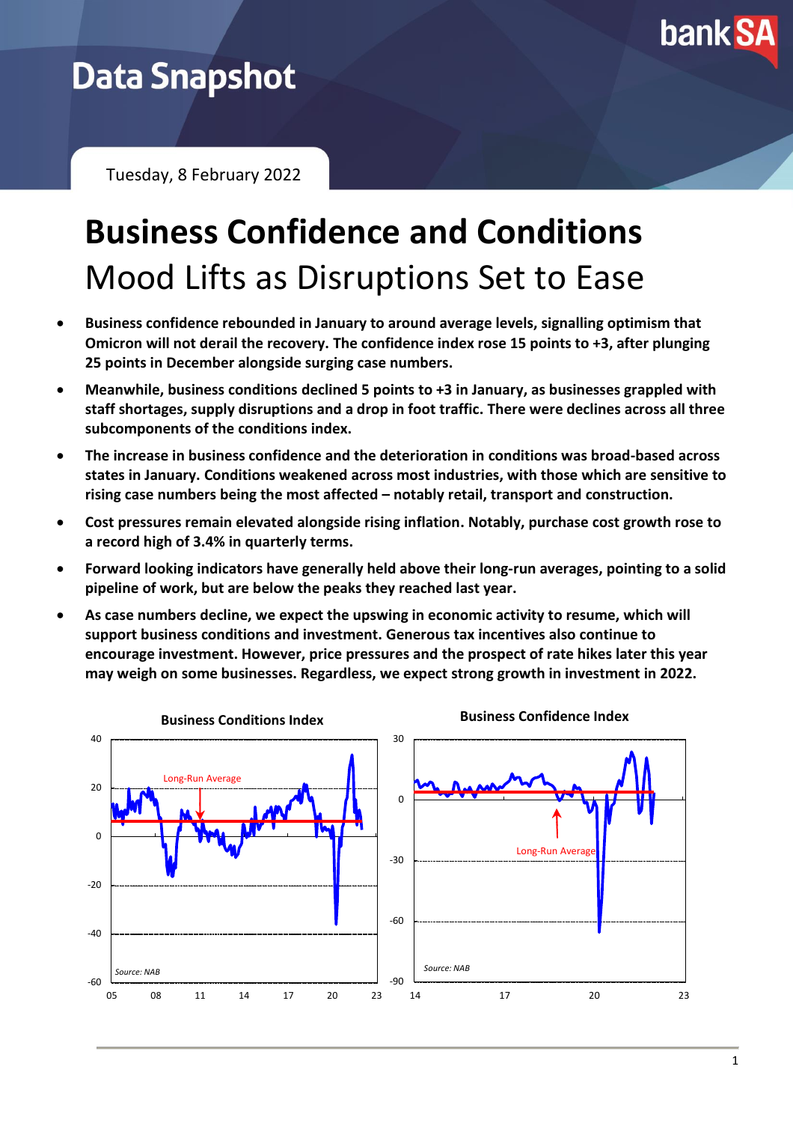

## **Data Snapshot**

Tuesday, 8 February 2022

# **Business Confidence and Conditions** Mood Lifts as Disruptions Set to Ease

- **Business confidence rebounded in January to around average levels, signalling optimism that Omicron will not derail the recovery. The confidence index rose 15 points to +3, after plunging 25 points in December alongside surging case numbers.**
- **Meanwhile, business conditions declined 5 points to +3 in January, as businesses grappled with staff shortages, supply disruptions and a drop in foot traffic. There were declines across all three subcomponents of the conditions index.**
- **The increase in business confidence and the deterioration in conditions was broad-based across states in January. Conditions weakened across most industries, with those which are sensitive to rising case numbers being the most affected – notably retail, transport and construction.**
- **Cost pressures remain elevated alongside rising inflation. Notably, purchase cost growth rose to a record high of 3.4% in quarterly terms.**
- **Forward looking indicators have generally held above their long-run averages, pointing to a solid pipeline of work, but are below the peaks they reached last year.**
- **As case numbers decline, we expect the upswing in economic activity to resume, which will support business conditions and investment. Generous tax incentives also continue to encourage investment. However, price pressures and the prospect of rate hikes later this year may weigh on some businesses. Regardless, we expect strong growth in investment in 2022.**

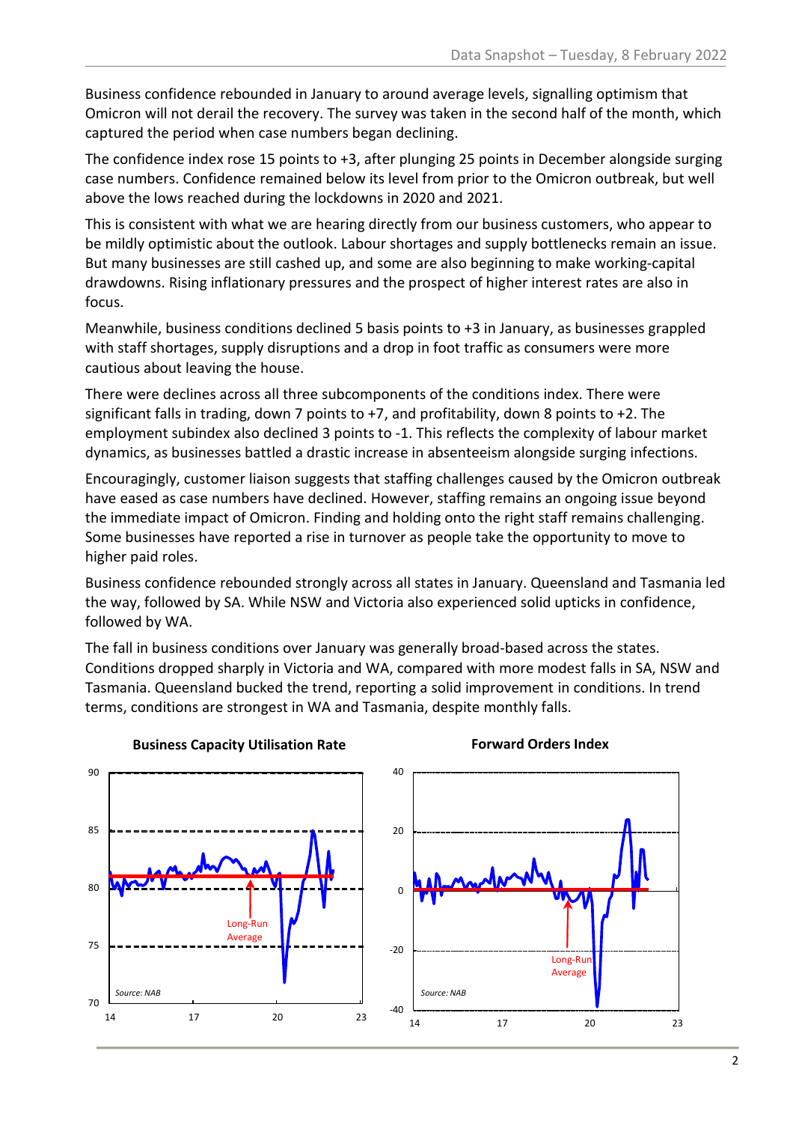Business confidence rebounded in January to around average levels, signalling optimism that Omicron will not derail the recovery. The survey was taken in the second half of the month, which captured the period when case numbers began declining.

The confidence index rose 15 points to +3, after plunging 25 points in December alongside surging case numbers. Confidence remained below its level from prior to the Omicron outbreak, but well above the lows reached during the lockdowns in 2020 and 2021.

This is consistent with what we are hearing directly from our business customers, who appear to be mildly optimistic about the outlook. Labour shortages and supply bottlenecks remain an issue. But many businesses are still cashed up, and some are also beginning to make working-capital drawdowns. Rising inflationary pressures and the prospect of higher interest rates are also in focus.

Meanwhile, business conditions declined 5 basis points to +3 in January, as businesses grappled with staff shortages, supply disruptions and a drop in foot traffic as consumers were more cautious about leaving the house.

There were declines across all three subcomponents of the conditions index. There were significant falls in trading, down 7 points to +7, and profitability, down 8 points to +2. The employment subindex also declined 3 points to -1. This reflects the complexity of labour market dynamics, as businesses battled a drastic increase in absenteeism alongside surging infections.

Encouragingly, customer liaison suggests that staffing challenges caused by the Omicron outbreak have eased as case numbers have declined. However, staffing remains an ongoing issue beyond the immediate impact of Omicron. Finding and holding onto the right staff remains challenging. Some businesses have reported a rise in turnover as people take the opportunity to move to higher paid roles.

Business confidence rebounded strongly across all states in January. Queensland and Tasmania led the way, followed by SA. While NSW and Victoria also experienced solid upticks in confidence, followed by WA.

The fall in business conditions over January was generally broad-based across the states. Conditions dropped sharply in Victoria and WA, compared with more modest falls in SA, NSW and Tasmania. Queensland bucked the trend, reporting a solid improvement in conditions. In trend terms, conditions are strongest in WA and Tasmania, despite monthly falls.



#### **Forward Orders Index**

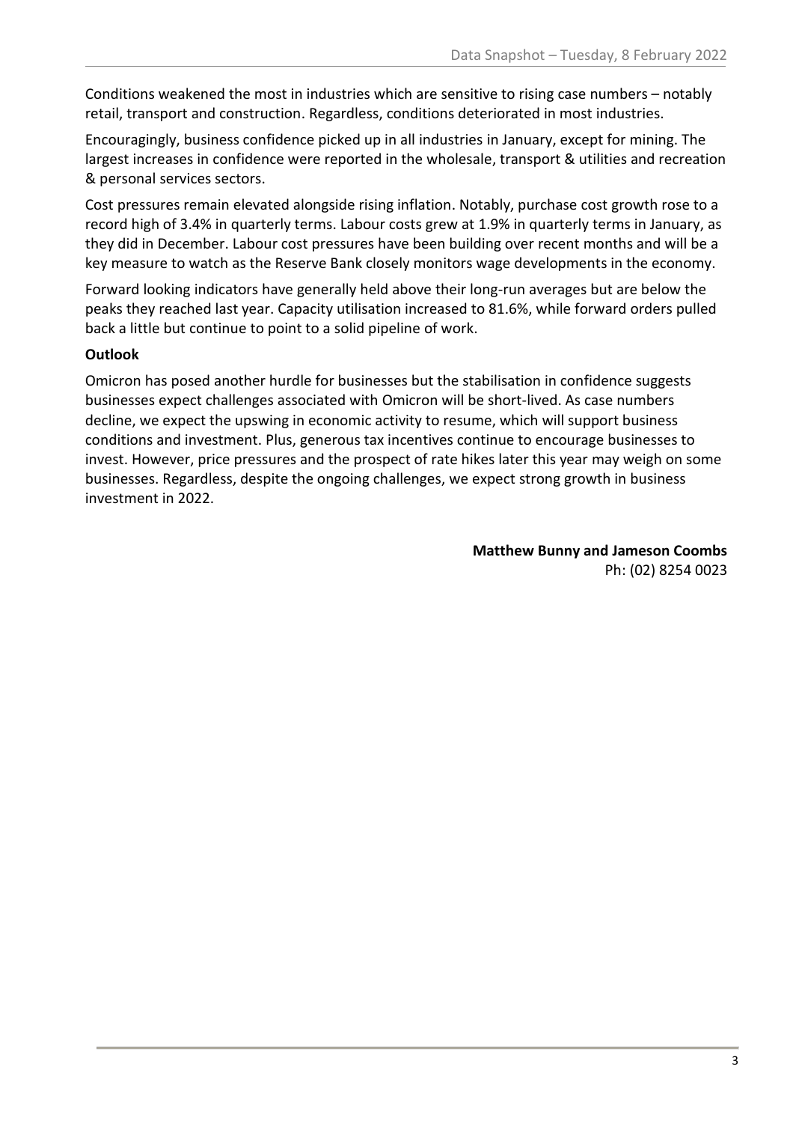Conditions weakened the most in industries which are sensitive to rising case numbers – notably retail, transport and construction. Regardless, conditions deteriorated in most industries.

Encouragingly, business confidence picked up in all industries in January, except for mining. The largest increases in confidence were reported in the wholesale, transport & utilities and recreation & personal services sectors.

Cost pressures remain elevated alongside rising inflation. Notably, purchase cost growth rose to a record high of 3.4% in quarterly terms. Labour costs grew at 1.9% in quarterly terms in January, as they did in December. Labour cost pressures have been building over recent months and will be a key measure to watch as the Reserve Bank closely monitors wage developments in the economy.

Forward looking indicators have generally held above their long-run averages but are below the peaks they reached last year. Capacity utilisation increased to 81.6%, while forward orders pulled back a little but continue to point to a solid pipeline of work.

#### **Outlook**

Omicron has posed another hurdle for businesses but the stabilisation in confidence suggests businesses expect challenges associated with Omicron will be short-lived. As case numbers decline, we expect the upswing in economic activity to resume, which will support business conditions and investment. Plus, generous tax incentives continue to encourage businesses to invest. However, price pressures and the prospect of rate hikes later this year may weigh on some businesses. Regardless, despite the ongoing challenges, we expect strong growth in business investment in 2022.

> **Matthew Bunny and Jameson Coombs** Ph: (02) 8254 0023